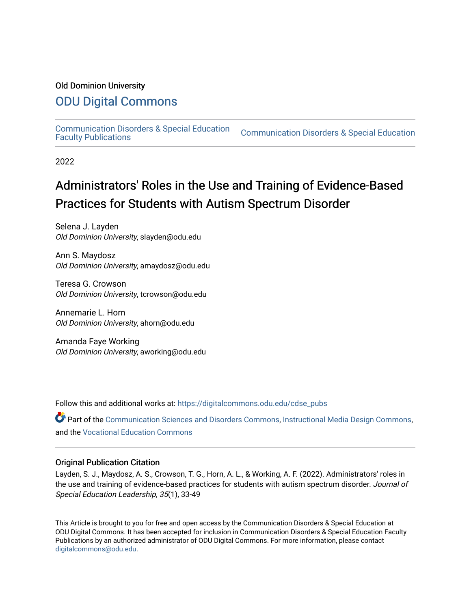#### Old Dominion University

#### [ODU Digital Commons](https://digitalcommons.odu.edu/)

[Communication Disorders & Special Education](https://digitalcommons.odu.edu/cdse_pubs) 

**Communication Disorders & Special Education** 

2022

## Administrators' Roles in the Use and Training of Evidence-Based Practices for Students with Autism Spectrum Disorder

Selena J. Layden Old Dominion University, slayden@odu.edu

Ann S. Maydosz Old Dominion University, amaydosz@odu.edu

Teresa G. Crowson Old Dominion University, tcrowson@odu.edu

Annemarie L. Horn Old Dominion University, ahorn@odu.edu

Amanda Faye Working Old Dominion University, aworking@odu.edu

Follow this and additional works at: [https://digitalcommons.odu.edu/cdse\\_pubs](https://digitalcommons.odu.edu/cdse_pubs?utm_source=digitalcommons.odu.edu%2Fcdse_pubs%2F71&utm_medium=PDF&utm_campaign=PDFCoverPages) 

Part of the [Communication Sciences and Disorders Commons](http://network.bepress.com/hgg/discipline/1019?utm_source=digitalcommons.odu.edu%2Fcdse_pubs%2F71&utm_medium=PDF&utm_campaign=PDFCoverPages), [Instructional Media Design Commons](http://network.bepress.com/hgg/discipline/795?utm_source=digitalcommons.odu.edu%2Fcdse_pubs%2F71&utm_medium=PDF&utm_campaign=PDFCoverPages), and the [Vocational Education Commons](http://network.bepress.com/hgg/discipline/1369?utm_source=digitalcommons.odu.edu%2Fcdse_pubs%2F71&utm_medium=PDF&utm_campaign=PDFCoverPages)

#### Original Publication Citation

Layden, S. J., Maydosz, A. S., Crowson, T. G., Horn, A. L., & Working, A. F. (2022). Administrators' roles in the use and training of evidence-based practices for students with autism spectrum disorder. Journal of Special Education Leadership, 35(1), 33-49

This Article is brought to you for free and open access by the Communication Disorders & Special Education at ODU Digital Commons. It has been accepted for inclusion in Communication Disorders & Special Education Faculty Publications by an authorized administrator of ODU Digital Commons. For more information, please contact [digitalcommons@odu.edu](mailto:digitalcommons@odu.edu).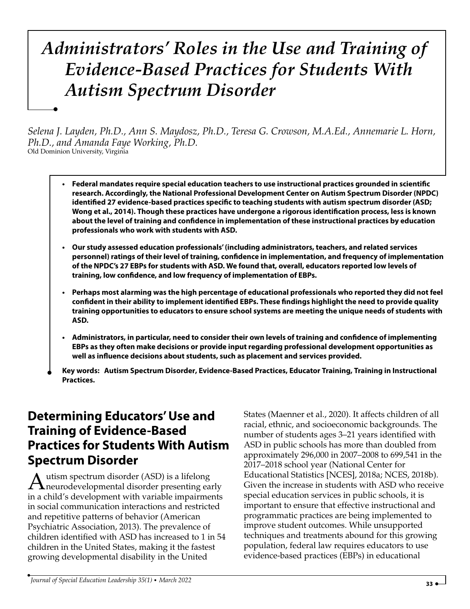# *Administrators' Roles in the Use and Training of Evidence-Based Practices for Students With Autism Spectrum Disorder*

*Selena J. Layden, Ph.D., Ann S. Maydosz, Ph.D., Teresa G. Crowson, M.A.Ed., Annemarie L. Horn, Ph.D., and Amanda Faye Working, Ph.D.* Old Dominion University, Virginia

- **Federal mandates require special education teachers to use instructional practices grounded in scientific research. Accordingly, the National Professional Development Center on Autism Spectrum Disorder (NPDC) identified 27 evidence-based practices specific to teaching students with autism spectrum disorder (ASD; Wong et al., 2014). Though these practices have undergone a rigorous identification process, less is known about the level of training and confidence in implementation of these instructional practices by education professionals who work with students with ASD.**
- **Our study assessed education professionals' (including administrators, teachers, and related services personnel) ratings of their level of training, confidence in implementation, and frequency of implementation of the NPDC's 27 EBPs for students with ASD. We found that, overall, educators reported low levels of training, low confidence, and low frequency of implementation of EBPs.**
- **Perhaps most alarming was the high percentage of educational professionals who reported they did not feel confident in their ability to implement identified EBPs. These findings highlight the need to provide quality training opportunities to educators to ensure school systems are meeting the unique needs of students with ASD.**
- **Administrators, in particular, need to consider their own levels of training and confidence of implementing EBPs as they often make decisions or provide input regarding professional development opportunities as well as influence decisions about students, such as placement and services provided.**
- $\blacksquare$ **Key words: Autism Spectrum Disorder, Evidence-Based Practices, Educator Training, Training in Instructional Practices.**

## **Determining Educators'Use and Training of Evidence-Based Practices for Students With Autism Spectrum Disorder**

-

Autism spectrum disorder (ASD) is a lifelong<br>neurodevelopmental disorder presenting early<br>in a skild/s development with veriable importance in a child's development with variable impairments in social communication interactions and restricted and repetitive patterns of behavior (American Psychiatric Association, 2013). The prevalence of children identified with ASD has increased to 1 in 54 children in the United States, making it the fastest growing developmental disability in the United

States (Maenner et al., 2020). It affects children of all racial, ethnic, and socioeconomic backgrounds. The number of students ages 3–21 years identified with ASD in public schools has more than doubled from approximately 296,000 in 2007–2008 to 699,541 in the 2017–2018 school year (National Center for Educational Statistics [NCES], 2018a; NCES, 2018b). Given the increase in students with ASD who receive special education services in public schools, it is important to ensure that effective instructional and programmatic practices are being implemented to improve student outcomes. While unsupported techniques and treatments abound for this growing population, federal law requires educators to use evidence-based practices (EBPs) in educational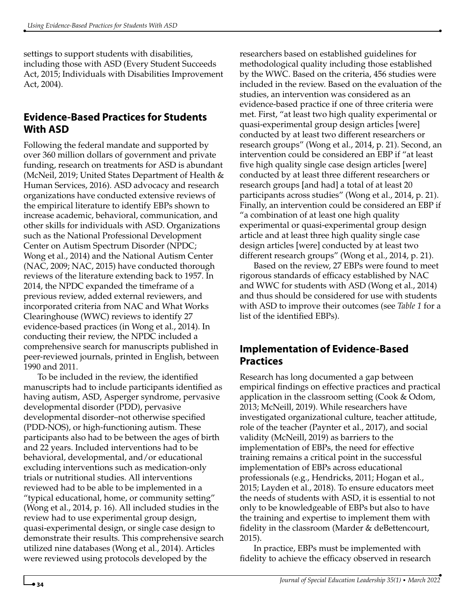settings to support students with disabilities, including those with ASD (Every Student Succeeds Act, 2015; Individuals with Disabilities Improvement Act, 2004).

#### **Evidence-Based Practices for Students With ASD**

Following the federal mandate and supported by over 360 million dollars of government and private funding, research on treatments for ASD is abundant (McNeil, 2019; United States Department of Health & Human Services, 2016). ASD advocacy and research organizations have conducted extensive reviews of the empirical literature to identify EBPs shown to increase academic, behavioral, communication, and other skills for individuals with ASD. Organizations such as the National Professional Development Center on Autism Spectrum Disorder (NPDC; Wong et al., 2014) and the National Autism Center (NAC, 2009; NAC, 2015) have conducted thorough reviews of the literature extending back to 1957. In 2014, the NPDC expanded the timeframe of a previous review, added external reviewers, and incorporated criteria from NAC and What Works Clearinghouse (WWC) reviews to identify 27 evidence-based practices (in Wong et al., 2014). In conducting their review, the NPDC included a comprehensive search for manuscripts published in peer-reviewed journals, printed in English, between 1990 and 2011.

To be included in the review, the identified manuscripts had to include participants identified as having autism, ASD, Asperger syndrome, pervasive developmental disorder (PDD), pervasive developmental disorder–not otherwise specified (PDD-NOS), or high-functioning autism. These participants also had to be between the ages of birth and 22 years. Included interventions had to be behavioral, developmental, and/or educational excluding interventions such as medication-only trials or nutritional studies. All interventions reviewed had to be able to be implemented in a "typical educational, home, or community setting" (Wong et al., 2014, p. 16). All included studies in the review had to use experimental group design, quasi-experimental design, or single case design to demonstrate their results. This comprehensive search utilized nine databases (Wong et al., 2014). Articles were reviewed using protocols developed by the

researchers based on established guidelines for methodological quality including those established by the WWC. Based on the criteria, 456 studies were included in the review. Based on the evaluation of the studies, an intervention was considered as an evidence-based practice if one of three criteria were met. First, "at least two high quality experimental or quasi-experimental group design articles [were] conducted by at least two different researchers or research groups" (Wong et al., 2014, p. 21). Second, an intervention could be considered an EBP if "at least five high quality single case design articles [were] conducted by at least three different researchers or research groups [and had] a total of at least 20 participants across studies" (Wong et al., 2014, p. 21). Finally, an intervention could be considered an EBP if "a combination of at least one high quality experimental or quasi-experimental group design article and at least three high quality single case design articles [were] conducted by at least two different research groups" (Wong et al., 2014, p. 21).

Based on the review, 27 EBPs were found to meet rigorous standards of efficacy established by NAC and WWC for students with ASD (Wong et al., 2014) and thus should be considered for use with students with ASD to improve their outcomes (see *Table 1* for a list of the identified EBPs).

#### **Implementation of Evidence-Based Practices**

Research has long documented a gap between empirical findings on effective practices and practical application in the classroom setting (Cook & Odom, 2013; McNeill, 2019). While researchers have investigated organizational culture, teacher attitude, role of the teacher (Paynter et al., 2017), and social validity (McNeill, 2019) as barriers to the implementation of EBPs, the need for effective training remains a critical point in the successful implementation of EBPs across educational professionals (e.g., Hendricks, 2011; Hogan et al., 2015; Layden et al., 2018). To ensure educators meet the needs of students with ASD, it is essential to not only to be knowledgeable of EBPs but also to have the training and expertise to implement them with fidelity in the classroom (Marder & deBettencourt, 2015).

In practice, EBPs must be implemented with fidelity to achieve the efficacy observed in research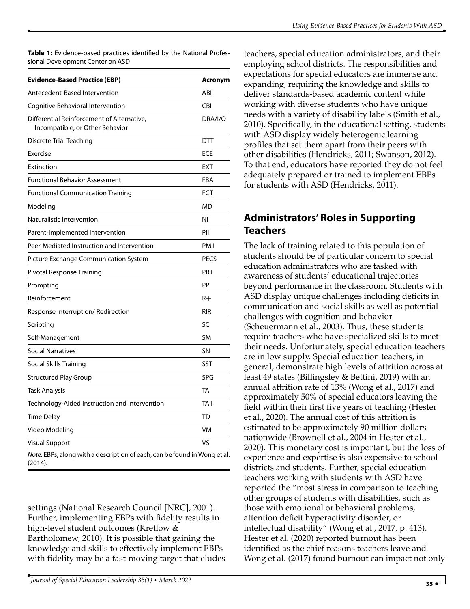**Table 1:** Evidence-based practices identified by the National Professional Development Center on ASD

| <b>Evidence-Based Practice (EBP)</b>                                                 | Acronym     |
|--------------------------------------------------------------------------------------|-------------|
| Antecedent-Based Intervention                                                        | ABI         |
| Cognitive Behavioral Intervention                                                    | CBI         |
| Differential Reinforcement of Alternative,<br>Incompatible, or Other Behavior        | DRA/I/O     |
| Discrete Trial Teaching                                                              | <b>DTT</b>  |
| Exercise                                                                             | <b>ECE</b>  |
| Extinction                                                                           | <b>EXT</b>  |
| <b>Functional Behavior Assessment</b>                                                | <b>FBA</b>  |
| <b>Functional Communication Training</b>                                             | <b>FCT</b>  |
| Modeling                                                                             | МD          |
| Naturalistic Intervention                                                            | NI          |
| Parent-Implemented Intervention                                                      | PII         |
| Peer-Mediated Instruction and Intervention                                           | PMII        |
| Picture Exchange Communication System                                                | <b>PECS</b> |
| Pivotal Response Training                                                            | <b>PRT</b>  |
| Prompting                                                                            | PP          |
| Reinforcement                                                                        | $R+$        |
| Response Interruption/Redirection                                                    | <b>RIR</b>  |
| Scripting                                                                            | SC          |
| Self-Management                                                                      | <b>SM</b>   |
| <b>Social Narratives</b>                                                             | SN          |
| Social Skills Training                                                               | <b>SST</b>  |
| <b>Structured Play Group</b>                                                         | SPG         |
| Task Analysis                                                                        | TA          |
| Technology-Aided Instruction and Intervention                                        | TAII        |
| Time Delay                                                                           | TD          |
| Video Modeling                                                                       | VM          |
| <b>Visual Support</b>                                                                | VS          |
| Note. EBPs, along with a description of each, can be found in Wong et al.<br>(2014). |             |

settings (National Research Council [NRC], 2001). Further, implementing EBPs with fidelity results in high-level student outcomes (Kretlow & Bartholomew, 2010). It is possible that gaining the knowledge and skills to effectively implement EBPs with fidelity may be a fast-moving target that eludes

teachers, special education administrators, and their employing school districts. The responsibilities and expectations for special educators are immense and expanding, requiring the knowledge and skills to deliver standards-based academic content while working with diverse students who have unique needs with a variety of disability labels (Smith et al., 2010). Specifically, in the educational setting, students with ASD display widely heterogenic learning profiles that set them apart from their peers with other disabilities (Hendricks, 2011; Swanson, 2012). To that end, educators have reported they do not feel adequately prepared or trained to implement EBPs for students with ASD (Hendricks, 2011).

#### **Administrators' Roles in Supporting Teachers**

The lack of training related to this population of students should be of particular concern to special education administrators who are tasked with awareness of students' educational trajectories beyond performance in the classroom. Students with ASD display unique challenges including deficits in communication and social skills as well as potential challenges with cognition and behavior (Scheuermann et al., 2003). Thus, these students require teachers who have specialized skills to meet their needs. Unfortunately, special education teachers are in low supply. Special education teachers, in general, demonstrate high levels of attrition across at least 49 states (Billingsley & Bettini, 2019) with an annual attrition rate of 13% (Wong et al., 2017) and approximately 50% of special educators leaving the field within their first five years of teaching (Hester et al., 2020). The annual cost of this attrition is estimated to be approximately 90 million dollars nationwide (Brownell et al., 2004 in Hester et al., 2020). This monetary cost is important, but the loss of experience and expertise is also expensive to school districts and students. Further, special education teachers working with students with ASD have reported the "most stress in comparison to teaching other groups of students with disabilities, such as those with emotional or behavioral problems, attention deficit hyperactivity disorder, or intellectual disability" (Wong et al., 2017, p. 413). Hester et al. (2020) reported burnout has been identified as the chief reasons teachers leave and Wong et al. (2017) found burnout can impact not only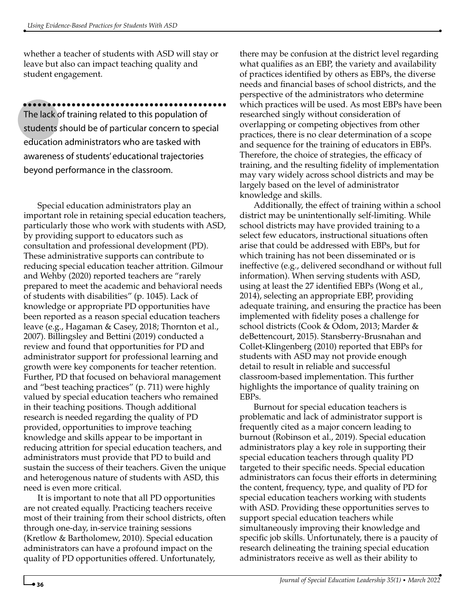whether a teacher of students with ASD will stay or leave but also can impact teaching quality and student engagement.

The lack of training related to this population of students should be of particular concern to special education administrators who are tasked with awareness of students' educational trajectories beyond performance in the classroom. ••••••••••••••••••••••••••••••••••••••••••

Special education administrators play an important role in retaining special education teachers, particularly those who work with students with ASD, by providing support to educators such as consultation and professional development (PD). These administrative supports can contribute to reducing special education teacher attrition. Gilmour and Wehby (2020) reported teachers are "rarely prepared to meet the academic and behavioral needs of students with disabilities" (p. 1045). Lack of knowledge or appropriate PD opportunities have been reported as a reason special education teachers leave (e.g., Hagaman & Casey, 2018; Thornton et al., 2007). Billingsley and Bettini (2019) conducted a review and found that opportunities for PD and administrator support for professional learning and growth were key components for teacher retention. Further, PD that focused on behavioral management and "best teaching practices" (p. 711) were highly valued by special education teachers who remained in their teaching positions. Though additional research is needed regarding the quality of PD provided, opportunities to improve teaching knowledge and skills appear to be important in reducing attrition for special education teachers, and administrators must provide that PD to build and sustain the success of their teachers. Given the unique and heterogenous nature of students with ASD, this need is even more critical.

It is important to note that all PD opportunities are not created equally. Practicing teachers receive most of their training from their school districts, often through one-day, in-service training sessions (Kretlow & Bartholomew, 2010). Special education administrators can have a profound impact on the quality of PD opportunities offered. Unfortunately,

there may be confusion at the district level regarding what qualifies as an EBP, the variety and availability of practices identified by others as EBPs, the diverse needs and financial bases of school districts, and the perspective of the administrators who determine which practices will be used. As most EBPs have been researched singly without consideration of overlapping or competing objectives from other practices, there is no clear determination of a scope and sequence for the training of educators in EBPs. Therefore, the choice of strategies, the efficacy of training, and the resulting fidelity of implementation may vary widely across school districts and may be largely based on the level of administrator knowledge and skills.

Additionally, the effect of training within a school district may be unintentionally self-limiting. While school districts may have provided training to a select few educators, instructional situations often arise that could be addressed with EBPs, but for which training has not been disseminated or is ineffective (e.g., delivered secondhand or without full information). When serving students with ASD, using at least the 27 identified EBPs (Wong et al., 2014), selecting an appropriate EBP, providing adequate training, and ensuring the practice has been implemented with fidelity poses a challenge for school districts (Cook & Odom, 2013; Marder & deBettencourt, 2015). Stansberry-Brusnahan and Collet-Klingenberg (2010) reported that EBPs for students with ASD may not provide enough detail to result in reliable and successful classroom-based implementation. This further highlights the importance of quality training on EBPs.

Burnout for special education teachers is problematic and lack of administrator support is frequently cited as a major concern leading to burnout (Robinson et al., 2019). Special education administrators play a key role in supporting their special education teachers through quality PD targeted to their specific needs. Special education administrators can focus their efforts in determining the content, frequency, type, and quality of PD for special education teachers working with students with ASD. Providing these opportunities serves to support special education teachers while simultaneously improving their knowledge and specific job skills. Unfortunately, there is a paucity of research delineating the training special education administrators receive as well as their ability to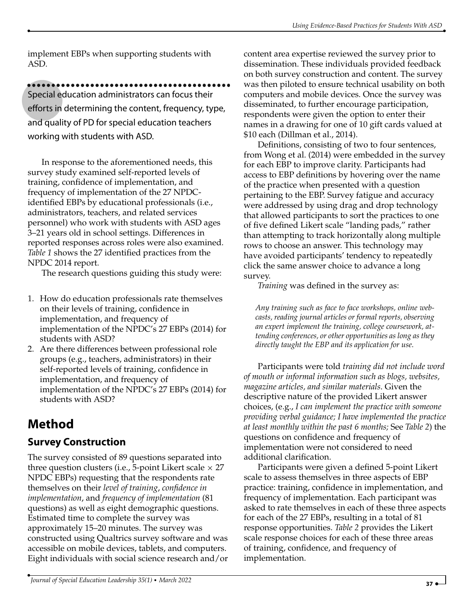implement EBPs when supporting students with ASD.

#### ••••••••••••••••••••••••••••••••••••••••••

Special education administrators can focus their efforts in determining the content, frequency, type, and quality of PD for special education teachers working with students with ASD.

In response to the aforementioned needs, this survey study examined self-reported levels of training, confidence of implementation, and frequency of implementation of the 27 NPDCidentified EBPs by educational professionals (i.e., administrators, teachers, and related services personnel) who work with students with ASD ages 3–21 years old in school settings. Differences in reported responses across roles were also examined. *Table 1* shows the 27 identified practices from the NPDC 2014 report.

The research questions guiding this study were:

- 1. How do education professionals rate themselves on their levels of training, confidence in implementation, and frequency of implementation of the NPDC's 27 EBPs (2014) for students with ASD?
- 2. Are there differences between professional role groups (e.g., teachers, administrators) in their self-reported levels of training, confidence in implementation, and frequency of implementation of the NPDC's 27 EBPs (2014) for students with ASD?

## **Method**

### **Survey Construction**

The survey consisted of 89 questions separated into three question clusters (i.e., 5-point Likert scale  $\times$  27 NPDC EBPs) requesting that the respondents rate themselves on their *level of training*, *confidence in implementation*, and *frequency of implementation* (81 questions) as well as eight demographic questions. Estimated time to complete the survey was approximately 15–20 minutes. The survey was constructed using Qualtrics survey software and was accessible on mobile devices, tablets, and computers. Eight individuals with social science research and/or content area expertise reviewed the survey prior to dissemination. These individuals provided feedback on both survey construction and content. The survey was then piloted to ensure technical usability on both computers and mobile devices. Once the survey was disseminated, to further encourage participation, respondents were given the option to enter their names in a drawing for one of 10 gift cards valued at \$10 each (Dillman et al., 2014).

Definitions, consisting of two to four sentences, from Wong et al. (2014) were embedded in the survey for each EBP to improve clarity. Participants had access to EBP definitions by hovering over the name of the practice when presented with a question pertaining to the EBP. Survey fatigue and accuracy were addressed by using drag and drop technology that allowed participants to sort the practices to one of five defined Likert scale "landing pads," rather than attempting to track horizontally along multiple rows to choose an answer. This technology may have avoided participants' tendency to repeatedly click the same answer choice to advance a long survey.

*Training* was defined in the survey as:

*Any training such as face to face workshops, online webcasts, reading journal articles or formal reports, observing an expert implement the training, college coursework, attending conferences, or other opportunities as long as they directly taught the EBP and its application for use*.

Participants were told *training did not include word of mouth or informal information such as blogs, websites, magazine articles, and similar materials*. Given the descriptive nature of the provided Likert answer choices, (e.g., *I can implement the practice with someone providing verbal guidance; I have implemented the practice at least monthly within the past 6 months;* See *Table 2*) the questions on confidence and frequency of implementation were not considered to need additional clarification.

Participants were given a defined 5-point Likert scale to assess themselves in three aspects of EBP practice: training, confidence in implementation, and frequency of implementation. Each participant was asked to rate themselves in each of these three aspects for each of the 27 EBPs, resulting in a total of 81 response opportunities. *Table 2* provides the Likert scale response choices for each of these three areas of training, confidence, and frequency of implementation.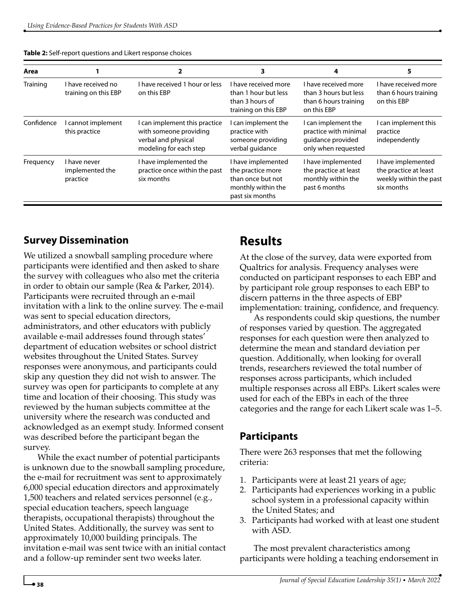| Table 2: Self-report questions and Likert response choices |  |
|------------------------------------------------------------|--|
|------------------------------------------------------------|--|

| Area       |                                             |                                                                                                          | 3                                                                                                     | 4                                                                                        |                                                                                     |
|------------|---------------------------------------------|----------------------------------------------------------------------------------------------------------|-------------------------------------------------------------------------------------------------------|------------------------------------------------------------------------------------------|-------------------------------------------------------------------------------------|
| Training   | I have received no<br>training on this EBP  | I have received 1 hour or less<br>on this EBP                                                            | I have received more<br>than 1 hour but less<br>than 3 hours of<br>training on this EBP               | I have received more<br>than 3 hours but less<br>than 6 hours training<br>on this EBP    | I have received more<br>than 6 hours training<br>on this EBP                        |
| Confidence | I cannot implement<br>this practice         | I can implement this practice<br>with someone providing<br>verbal and physical<br>modeling for each step | I can implement the<br>practice with<br>someone providing<br>verbal quidance                          | I can implement the<br>practice with minimal<br>quidance provided<br>only when requested | I can implement this<br>practice<br>independently                                   |
| Frequency  | I have never<br>implemented the<br>practice | I have implemented the<br>practice once within the past<br>six months                                    | I have implemented<br>the practice more<br>than once but not<br>monthly within the<br>past six months | I have implemented<br>the practice at least<br>monthly within the<br>past 6 months       | I have implemented<br>the practice at least<br>weekly within the past<br>six months |

#### **Survey Dissemination**

We utilized a snowball sampling procedure where participants were identified and then asked to share the survey with colleagues who also met the criteria in order to obtain our sample (Rea & Parker, 2014). Participants were recruited through an e-mail invitation with a link to the online survey. The e-mail was sent to special education directors, administrators, and other educators with publicly available e-mail addresses found through states' department of education websites or school district websites throughout the United States. Survey responses were anonymous, and participants could skip any question they did not wish to answer. The survey was open for participants to complete at any time and location of their choosing. This study was reviewed by the human subjects committee at the university where the research was conducted and acknowledged as an exempt study. Informed consent was described before the participant began the survey.

While the exact number of potential participants is unknown due to the snowball sampling procedure, the e-mail for recruitment was sent to approximately 6,000 special education directors and approximately 1,500 teachers and related services personnel (e.g., special education teachers, speech language therapists, occupational therapists) throughout the United States. Additionally, the survey was sent to approximately 10,000 building principals. The invitation e-mail was sent twice with an initial contact and a follow-up reminder sent two weeks later.

## **Results**

At the close of the survey, data were exported from Qualtrics for analysis. Frequency analyses were conducted on participant responses to each EBP and by participant role group responses to each EBP to discern patterns in the three aspects of EBP implementation: training, confidence, and frequency.

As respondents could skip questions, the number of responses varied by question. The aggregated responses for each question were then analyzed to determine the mean and standard deviation per question. Additionally, when looking for overall trends, researchers reviewed the total number of responses across participants, which included multiple responses across all EBPs. Likert scales were used for each of the EBPs in each of the three categories and the range for each Likert scale was 1–5.

#### **Participants**

There were 263 responses that met the following criteria:

- 1. Participants were at least 21 years of age;
- 2. Participants had experiences working in a public school system in a professional capacity within the United States; and
- 3. Participants had worked with at least one student with ASD.

The most prevalent characteristics among participants were holding a teaching endorsement in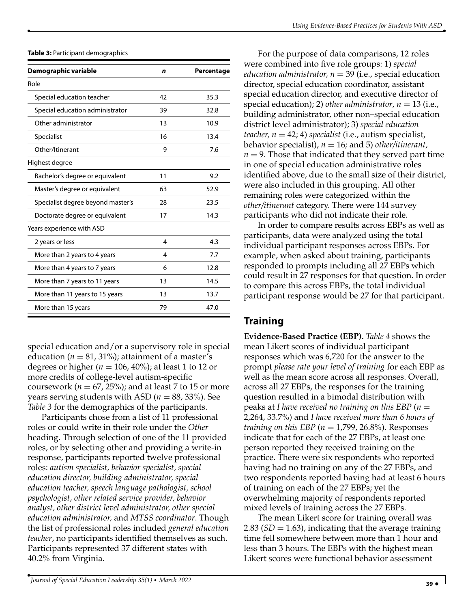**Table 3:** Participant demographics

| Demographic variable              | n  | Percentage |
|-----------------------------------|----|------------|
| Role                              |    |            |
| Special education teacher         | 42 | 35.3       |
| Special education administrator   | 39 | 32.8       |
| Other administrator               | 13 | 10.9       |
| Specialist                        | 16 | 13.4       |
| Other/Itinerant                   | 9  | 7.6        |
| Highest degree                    |    |            |
| Bachelor's degree or equivalent   | 11 | 9.2        |
| Master's degree or equivalent     | 63 | 52.9       |
| Specialist degree beyond master's | 28 | 23.5       |
| Doctorate degree or equivalent    | 17 | 14.3       |
| Years experience with ASD         |    |            |
| 2 years or less                   | 4  | 4.3        |
| More than 2 years to 4 years      | 4  | 7.7        |
| More than 4 years to 7 years      | 6  | 12.8       |
| More than 7 years to 11 years     | 13 | 14.5       |
| More than 11 years to 15 years    | 13 | 13.7       |
| More than 15 years                | 79 | 47.0       |

special education and/or a supervisory role in special education ( $n = 81, 31\%$ ); attainment of a master's degrees or higher ( $n = 106$ , 40%); at least 1 to 12 or more credits of college-level autism-specific coursework ( $n = 67$ , 25%); and at least 7 to 15 or more years serving students with ASD ( $n = 88$ , 33%). See *Table 3* for the demographics of the participants.

Participants chose from a list of 11 professional roles or could write in their role under the *Other* heading. Through selection of one of the 11 provided roles, or by selecting other and providing a write-in response, participants reported twelve professional roles: *autism specialist, behavior specialist, special education director, building administrator, special education teacher, speech language pathologist, school psychologist, other related service provider, behavior analyst, other district level administrator, other special education administrator,* and *MTSS coordinator*. Though the list of professional roles included *general education teacher*, no participants identified themselves as such. Participants represented 37 different states with 40.2% from Virginia.

For the purpose of data comparisons, 12 roles were combined into five role groups: 1) *special education administrator,*  $n = 39$  *(i.e., special education* director, special education coordinator, assistant special education director, and executive director of special education); 2) *other administrator*,  $n = 13$  (i.e., building administrator, other non–special education district level administrator); 3) *special education*  $teacher, n = 42; 4) specialist (i.e., autism specialist,$ behavior specialist), *n* = 16*;* and 5) *other/itinerant,*  $n = 9$ . Those that indicated that they served part time in one of special education administrative roles identified above, due to the small size of their district, were also included in this grouping. All other remaining roles were categorized within the *other/itinerant* category. There were 144 survey participants who did not indicate their role.

In order to compare results across EBPs as well as participants, data were analyzed using the total individual participant responses across EBPs. For example, when asked about training, participants responded to prompts including all 27 EBPs which could result in 27 responses for that question. In order to compare this across EBPs, the total individual participant response would be 27 for that participant.

#### **Training**

**Evidence-Based Practice (EBP).** *Table 4* shows the mean Likert scores of individual participant responses which was 6,720 for the answer to the prompt *please rate your level of training* for each EBP as well as the mean score across all responses. Overall, across all 27 EBPs, the responses for the training question resulted in a bimodal distribution with peaks at *I have received no training on this EBP* (*n* = 2,264, 33.7%) and *I have received more than 6 hours of training on this EBP*  $(n = 1,799, 26.8\%)$ . Responses indicate that for each of the 27 EBPs, at least one person reported they received training on the practice. There were six respondents who reported having had no training on any of the 27 EBPs, and two respondents reported having had at least 6 hours of training on each of the 27 EBPs; yet the overwhelming majority of respondents reported mixed levels of training across the 27 EBPs.

The mean Likert score for training overall was 2.83  $(SD = 1.63)$ , indicating that the average training time fell somewhere between more than 1 hour and less than 3 hours. The EBPs with the highest mean Likert scores were functional behavior assessment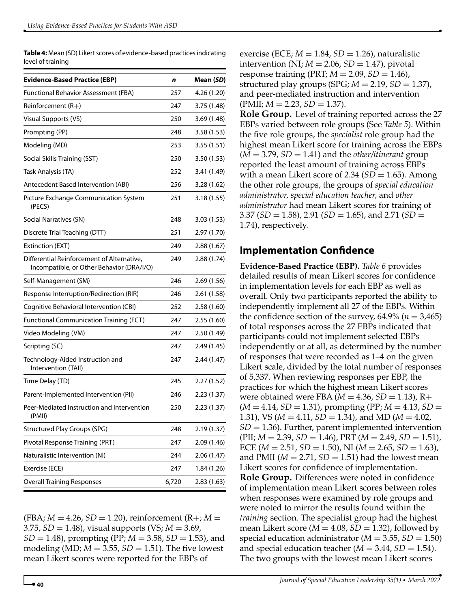**Table 4:** Mean (SD) Likert scores of evidence-based practices indicating level of training

| <b>Evidence-Based Practice (EBP)</b>                                                    | n     | Mean (SD)   |
|-----------------------------------------------------------------------------------------|-------|-------------|
| Functional Behavior Assessment (FBA)                                                    | 257   | 4.26 (1.20) |
| Reinforcement $(R+)$                                                                    | 247   | 3.75(1.48)  |
| Visual Supports (VS)                                                                    | 250   | 3.69(1.48)  |
| Prompting (PP)                                                                          | 248   | 3.58 (1.53) |
| Modeling (MD)                                                                           | 253   | 3.55(1.51)  |
| Social Skills Training (SST)                                                            | 250   | 3.50(1.53)  |
| Task Analysis (TA)                                                                      | 252   | 3.41 (1.49) |
| Antecedent Based Intervention (ABI)                                                     | 256   | 3.28 (1.62) |
| Picture Exchange Communication System<br>(PECS)                                         | 251   | 3.18 (1.55) |
| Social Narratives (SN)                                                                  | 248   | 3.03(1.53)  |
| Discrete Trial Teaching (DTT)                                                           | 251   | 2.97 (1.70) |
| Extinction (EXT)                                                                        | 249   | 2.88(1.67)  |
| Differential Reinforcement of Alternative,<br>Incompatible, or Other Behavior (DRA/I/O) | 249   | 2.88(1.74)  |
| Self-Management (SM)                                                                    | 246   | 2.69(1.56)  |
| Response Interruption/Redirection (RIR)                                                 | 246   | 2.61(1.58)  |
| Cognitive Behavioral Intervention (CBI)                                                 | 252   | 2.58(1.60)  |
| <b>Functional Communication Training (FCT)</b>                                          | 247   | 2.55(1.60)  |
| Video Modeling (VM)                                                                     | 247   | 2.50(1.49)  |
| Scripting (SC)                                                                          | 247   | 2.49 (1.45) |
| Technology-Aided Instruction and<br>Intervention (TAII)                                 | 247   | 2.44(1.47)  |
| Time Delay (TD)                                                                         | 245   | 2.27(1.52)  |
| Parent-Implemented Intervention (PII)                                                   | 246   | 2.23(1.37)  |
| Peer-Mediated Instruction and Intervention<br>(PMII)                                    | 250   | 2.23(1.37)  |
| <b>Structured Play Groups (SPG)</b>                                                     | 248   | 2.19(1.37)  |
| Pivotal Response Training (PRT)                                                         | 247   | 2.09(1.46)  |
| Naturalistic Intervention (NI)                                                          | 244   | 2.06 (1.47) |
| Exercise (ECE)                                                                          | 247   | 1.84 (1.26) |
| <b>Overall Training Responses</b>                                                       | 6,720 | 2.83(1.63)  |
|                                                                                         |       |             |

 $(FBA; M = 4.26, SD = 1.20)$ , reinforcement  $(R +; M = 1.26)$ 3.75, *SD* = 1.48), visual supports (VS; *M* = 3.69, *SD* = 1.48), prompting (PP; *M* = 3.58, *SD* = 1.53), and modeling (MD;  $M = 3.55$ ,  $SD = 1.51$ ). The five lowest mean Likert scores were reported for the EBPs of

exercise (ECE;  $M = 1.84$ ,  $SD = 1.26$ ), naturalistic intervention (NI;  $M = 2.06$ ,  $SD = 1.47$ ), pivotal response training (PRT;  $M = 2.09$ ,  $SD = 1.46$ ), structured play groups  $(SPG; M = 2.19, SD = 1.37)$ , and peer-mediated instruction and intervention  $(PMII; M = 2.23, SD = 1.37).$ 

**Role Group.** Level of training reported across the 27 EBPs varied between role groups (See *Table 5*). Within the five role groups, the *specialist* role group had the highest mean Likert score for training across the EBPs  $(M = 3.79, SD = 1.41)$  and the *other*/itinerant group reported the least amount of training across EBPs with a mean Likert score of  $2.34$  ( $SD = 1.65$ ). Among the other role groups, the groups of *special education administrator, special education teacher,* and *other administrator* had mean Likert scores for training of 3.37 (*SD* = 1.58), 2.91 (*SD* = 1.65), and 2.71 (*SD* = 1.74), respectively.

#### **Implementation Confidence**

**Evidence-Based Practice (EBP).** *Table 6* provides detailed results of mean Likert scores for confidence in implementation levels for each EBP as well as overall. Only two participants reported the ability to independently implement all 27 of the EBPs. Within the confidence section of the survey,  $64.9\%$  ( $n = 3,465$ ) of total responses across the 27 EBPs indicated that participants could not implement selected EBPs independently or at all, as determined by the number of responses that were recorded as 1–4 on the given Likert scale, divided by the total number of responses of 5,337. When reviewing responses per EBP, the practices for which the highest mean Likert scores were obtained were FBA  $(M = 4.36, SD = 1.13)$ , R+  $(M = 4.14, SD = 1.31)$ , prompting (PP;  $M = 4.13$ ,  $SD =$ 1.31), VS (*M* = 4.11, *SD* = 1.34), and MD (*M* = 4.02,  $SD = 1.36$ ). Further, parent implemented intervention (PII; *M* = 2.39, *SD* = 1.46), PRT (*M* = 2.49, *SD* = 1.51), ECE (*M* = 2.51, *SD* = 1.50), NI (*M* = 2.65, *SD* = 1.63), and PMII ( $M = 2.71$ ,  $SD = 1.51$ ) had the lowest mean Likert scores for confidence of implementation. **Role Group.** Differences were noted in confidence of implementation mean Likert scores between roles when responses were examined by role groups and were noted to mirror the results found within the *training* section. The specialist group had the highest mean Likert score ( $M = 4.08$ ,  $SD = 1.32$ ), followed by special education administrator ( $M = 3.55$ ,  $SD = 1.50$ ) and special education teacher  $(M = 3.44, SD = 1.54)$ . The two groups with the lowest mean Likert scores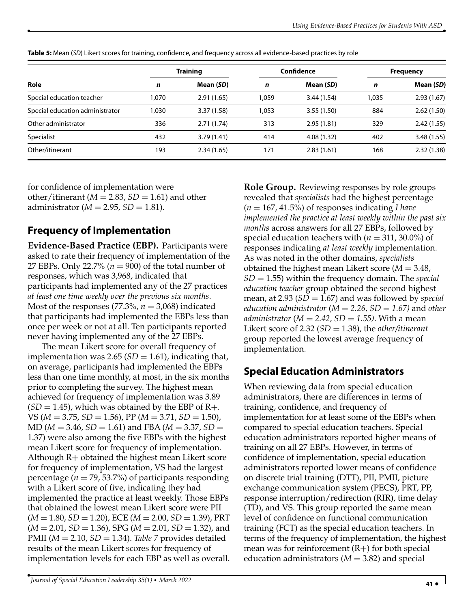|                                 | <b>Training</b> |            | Confidence |            | <b>Frequency</b> |            |
|---------------------------------|-----------------|------------|------------|------------|------------------|------------|
| Role                            | n               | Mean (SD)  | n          | Mean (SD)  | n                | Mean (SD)  |
| Special education teacher       | 1.070           | 2.91(1.65) | 1.059      | 3.44(1.54) | 1.035            | 2.93(1.67) |
| Special education administrator | 1,030           | 3.37(1.58) | 1.053      | 3.55(1.50) | 884              | 2.62(1.50) |
| Other administrator             | 336             | 2.71(1.74) | 313        | 2.95(1.81) | 329              | 2.42(1.55) |
| Specialist                      | 432             | 3.79(1.41) | 414        | 4.08(1.32) | 402              | 3.48(1.55) |
| Other/itinerant                 | 193             | 2.34(1.65) | 171        | 2.83(1.61) | 168              | 2.32(1.38) |

**Table 5:** Mean (*SD*) Likert scores for training, confidence, and frequency across all evidence-based practices by role

for confidence of implementation were other/itinerant ( $M = 2.83$ ,  $SD = 1.61$ ) and other administrator ( $M = 2.95$ ,  $SD = 1.81$ ).

#### **Frequency of Implementation**

**Evidence-Based Practice (EBP).** Participants were asked to rate their frequency of implementation of the 27 EBPs. Only 22.7% ( $n = 900$ ) of the total number of responses, which was 3,968, indicated that participants had implemented any of the 27 practices *at least one time weekly over the previous six months*. Most of the responses  $(77.3\%, n = 3,068)$  indicated that participants had implemented the EBPs less than once per week or not at all. Ten participants reported never having implemented any of the 27 EBPs.

The mean Likert score for overall frequency of implementation was 2.65 ( $SD = 1.61$ ), indicating that, on average, participants had implemented the EBPs less than one time monthly, at most, in the six months prior to completing the survey. The highest mean achieved for frequency of implementation was 3.89  $(SD = 1.45)$ , which was obtained by the EBP of R+. VS (*M* = 3.75, *SD* = 1.56), PP (*M* = 3.71, *SD* = 1.50),  $MD (M = 3.46, SD = 1.61)$  and FBA ( $M = 3.37, SD =$ 1.37) were also among the five EBPs with the highest mean Likert score for frequency of implementation. Although R+ obtained the highest mean Likert score for frequency of implementation, VS had the largest percentage ( $n = 79$ , 53.7%) of participants responding with a Likert score of five, indicating they had implemented the practice at least weekly. Those EBPs that obtained the lowest mean Likert score were PII (*M* = 1.80, *SD* = 1.20), ECE (*M* = 2.00, *SD* = 1.39), PRT (*M* = 2.01, *SD* = 1.36), SPG (*M* = 2.01, *SD* = 1.32), and PMII (*M* = 2.10, *SD* = 1.34). *Table 7* provides detailed results of the mean Likert scores for frequency of implementation levels for each EBP as well as overall.

**Role Group.** Reviewing responses by role groups revealed that *specialists* had the highest percentage (*n* = 167, 41.5%) of responses indicating *I have implemented the practice at least weekly within the past six months* across answers for all 27 EBPs, followed by special education teachers with  $(n = 311, 30.0\%)$  of responses indicating *at least weekly* implementation. As was noted in the other domains, *specialists* obtained the highest mean Likert score (*M* = 3.48, *SD* = 1.55) within the frequency domain. The *special education teacher* group obtained the second highest mean, at 2.93 (*SD* = 1.67) and was followed by *special education administrator* ( $M = 2.26$ ,  $SD = 1.67$ ) and *other administrator* ( $M = 2.42$ ,  $SD = 1.55$ ). With a mean Likert score of 2.32 (*SD* = 1.38), the *other/itinerant* group reported the lowest average frequency of implementation.

#### **Special Education Administrators**

When reviewing data from special education administrators, there are differences in terms of training, confidence, and frequency of implementation for at least some of the EBPs when compared to special education teachers. Special education administrators reported higher means of training on all 27 EBPs. However, in terms of confidence of implementation, special education administrators reported lower means of confidence on discrete trial training (DTT), PII, PMII, picture exchange communication system (PECS), PRT, PP, response interruption/redirection (RIR), time delay (TD), and VS. This group reported the same mean level of confidence on functional communication training (FCT) as the special education teachers. In terms of the frequency of implementation, the highest mean was for reinforcement  $(R+)$  for both special education administrators  $(M = 3.82)$  and special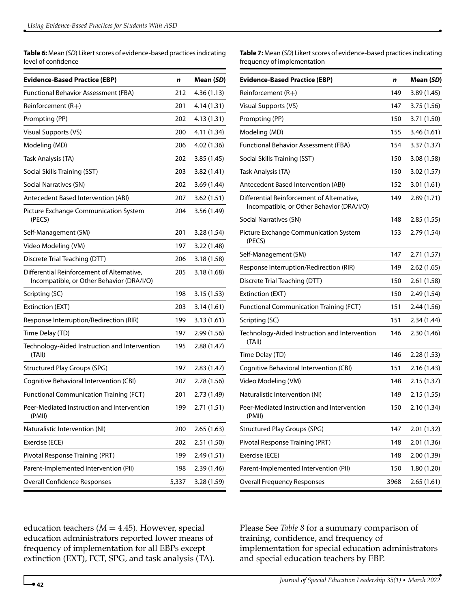**Table 6:** Mean (*SD*) Likert scores of evidence-based practices indicating level of confidence

| <b>Evidence-Based Practice (EBP)</b>                                                    | n     | Mean (SD)   |
|-----------------------------------------------------------------------------------------|-------|-------------|
| Functional Behavior Assessment (FBA)                                                    | 212   | 4.36(1.13)  |
| Reinforcement $(R+)$                                                                    | 201   | 4.14(1.31)  |
| Prompting (PP)                                                                          | 202   | 4.13 (1.31) |
| <b>Visual Supports (VS)</b>                                                             | 200   | 4.11 (1.34) |
| Modeling (MD)                                                                           | 206   | 4.02 (1.36) |
| Task Analysis (TA)                                                                      | 202   | 3.85(1.45)  |
| Social Skills Training (SST)                                                            | 203   | 3.82(1.41)  |
| Social Narratives (SN)                                                                  | 202   | 3.69 (1.44) |
| Antecedent Based Intervention (ABI)                                                     | 207   | 3.62(1.51)  |
| Picture Exchange Communication System<br>(PECS)                                         | 204   | 3.56(1.49)  |
| Self-Management (SM)                                                                    | 201   | 3.28(1.54)  |
| Video Modeling (VM)                                                                     | 197   | 3.22(1.48)  |
| Discrete Trial Teaching (DTT)                                                           | 206   | 3.18(1.58)  |
| Differential Reinforcement of Alternative.<br>Incompatible, or Other Behavior (DRA/I/O) | 205   | 3.18(1.68)  |
| Scripting (SC)                                                                          | 198   | 3.15(1.53)  |
| Extinction (EXT)                                                                        | 203   | 3.14(1.61)  |
| Response Interruption/Redirection (RIR)                                                 | 199   | 3.13 (1.61) |
| Time Delay (TD)                                                                         | 197   | 2.99(1.56)  |
| Technology-Aided Instruction and Intervention<br>(TAII)                                 | 195   | 2.88 (1.47) |
| <b>Structured Play Groups (SPG)</b>                                                     | 197   | 2.83(1.47)  |
| Cognitive Behavioral Intervention (CBI)                                                 | 207   | 2.78 (1.56) |
| <b>Functional Communication Training (FCT)</b>                                          | 201   | 2.73 (1.49) |
| Peer-Mediated Instruction and Intervention<br>(PMII)                                    | 199   | 2.71(1.51)  |
| Naturalistic Intervention (NI)                                                          | 200   | 2.65(1.63)  |
| Exercise (ECE)                                                                          | 202   | 2.51 (1.50) |
| Pivotal Response Training (PRT)                                                         | 199   | 2.49 (1.51) |
| Parent-Implemented Intervention (PII)                                                   | 198   | 2.39 (1.46) |
| Overall Confidence Responses                                                            | 5,337 | 3.28 (1.59) |

**Table 7:** Mean (*SD*) Likert scores of evidence-based practices indicating frequency of implementation

| <b>Evidence-Based Practice (EBP)</b>                                                    | n    | Mean ( <i>SD</i> ) |
|-----------------------------------------------------------------------------------------|------|--------------------|
| Reinforcement $(R+)$                                                                    | 149  | 3.89(1.45)         |
| <b>Visual Supports (VS)</b>                                                             | 147  | 3.75 (1.56)        |
| Prompting (PP)                                                                          | 150  | 3.71 (1.50)        |
| Modeling (MD)                                                                           | 155  | 3.46(1.61)         |
| <b>Functional Behavior Assessment (FBA)</b>                                             | 154  | 3.37(1.37)         |
| Social Skills Training (SST)                                                            | 150  | 3.08(1.58)         |
| Task Analysis (TA)                                                                      | 150  | 3.02 (1.57)        |
| Antecedent Based Intervention (ABI)                                                     | 152  | 3.01(1.61)         |
| Differential Reinforcement of Alternative,<br>Incompatible, or Other Behavior (DRA/I/O) | 149  | 2.89(1.71)         |
| Social Narratives (SN)                                                                  | 148  | 2.85(1.55)         |
| Picture Exchange Communication System<br>(PECS)                                         | 153  | 2.79 (1.54)        |
| Self-Management (SM)                                                                    | 147  | 2.71(1.57)         |
| Response Interruption/Redirection (RIR)                                                 | 149  | 2.62(1.65)         |
| Discrete Trial Teaching (DTT)                                                           | 150  | 2.61 (1.58)        |
| Extinction (EXT)                                                                        | 150  | 2.49(1.54)         |
| <b>Functional Communication Training (FCT)</b>                                          | 151  | 2.44 (1.56)        |
| Scripting (SC)                                                                          | 151  | 2.34 (1.44)        |
| Technology-Aided Instruction and Intervention<br>(TAII)                                 | 146  | 2.30 (1.46)        |
| Time Delay (TD)                                                                         | 146  | 2.28(1.53)         |
| Cognitive Behavioral Intervention (CBI)                                                 | 151  | 2.16(1.43)         |
| Video Modeling (VM)                                                                     | 148  | 2.15(1.37)         |
| Naturalistic Intervention (NI)                                                          | 149  | 2.15(1.55)         |
| Peer-Mediated Instruction and Intervention<br>(PMII)                                    | 150  | 2.10(1.34)         |
| <b>Structured Play Groups (SPG)</b>                                                     | 147  | 2.01(1.32)         |
| Pivotal Response Training (PRT)                                                         | 148  | 2.01 (1.36)        |
| Exercise (ECE)                                                                          | 148  | 2.00 (1.39)        |
| Parent-Implemented Intervention (PII)                                                   | 150  | 1.80 (1.20)        |
| <b>Overall Frequency Responses</b>                                                      | 3968 | 2.65(1.61)         |

education teachers ( $M = 4.45$ ). However, special education administrators reported lower means of frequency of implementation for all EBPs except extinction (EXT), FCT, SPG, and task analysis (TA). Please See *Table 8* for a summary comparison of training, confidence, and frequency of implementation for special education administrators and special education teachers by EBP.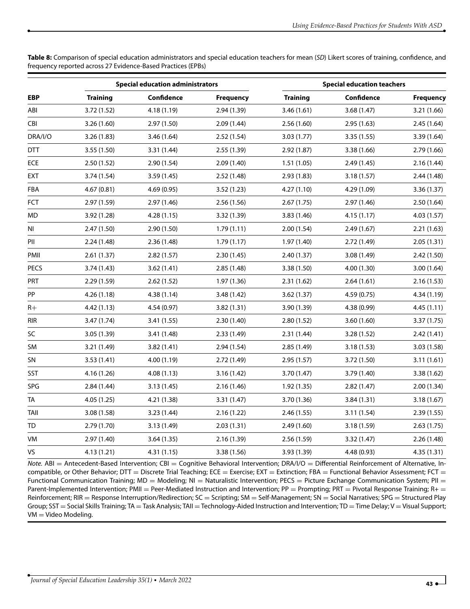**Table 8:** Comparison of special education administrators and special education teachers for mean (*SD*) Likert scores of training, confidence, and frequency reported across 27 Evidence-Based Practices (EPBs)

|            | <b>Special education administrators</b> |             |                  | <b>Special education teachers</b> |             |                  |  |
|------------|-----------------------------------------|-------------|------------------|-----------------------------------|-------------|------------------|--|
| <b>EBP</b> | <b>Training</b>                         | Confidence  | <b>Frequency</b> | <b>Training</b>                   | Confidence  | <b>Frequency</b> |  |
| ABI        | 3.72 (1.52)                             | 4.18(1.19)  | 2.94(1.39)       | 3.46(1.61)                        | 3.68(1.47)  | 3.21(1.66)       |  |
| CBI        | 3.26(1.60)                              | 2.97(1.50)  | 2.09(1.44)       | 2.56(1.60)                        | 2.95(1.63)  | 2.45(1.64)       |  |
| DRA/I/O    | 3.26(1.83)                              | 3.46(1.64)  | 2.52(1.54)       | 3.03(1.77)                        | 3.35(1.55)  | 3.39(1.64)       |  |
| <b>DTT</b> | 3.55 (1.50)                             | 3.31 (1.44) | 2.55(1.39)       | 2.92(1.87)                        | 3.38(1.66)  | 2.79(1.66)       |  |
| ECE        | 2.50(1.52)                              | 2.90(1.54)  | 2.09(1.40)       | 1.51(1.05)                        | 2.49(1.45)  | 2.16(1.44)       |  |
| EXT        | 3.74(1.54)                              | 3.59(1.45)  | 2.52(1.48)       | 2.93(1.83)                        | 3.18(1.57)  | 2.44(1.48)       |  |
| FBA        | 4.67(0.81)                              | 4.69(0.95)  | 3.52(1.23)       | 4.27(1.10)                        | 4.29 (1.09) | 3.36 (1.37)      |  |
| FCT        | 2.97 (1.59)                             | 2.97 (1.46) | 2.56(1.56)       | 2.67(1.75)                        | 2.97 (1.46) | 2.50(1.64)       |  |
| MD         | 3.92 (1.28)                             | 4.28(1.15)  | 3.32 (1.39)      | 3.83(1.46)                        | 4.15(1.17)  | 4.03(1.57)       |  |
| NI         | 2.47(1.50)                              | 2.90(1.50)  | 1.79(1.11)       | 2.00(1.54)                        | 2.49(1.67)  | 2.21(1.63)       |  |
| PII        | 2.24(1.48)                              | 2.36(1.48)  | 1.79(1.17)       | 1.97(1.40)                        | 2.72 (1.49) | 2.05(1.31)       |  |
| PMII       | 2.61(1.37)                              | 2.82(1.57)  | 2.30(1.45)       | 2.40(1.37)                        | 3.08(1.49)  | 2.42(1.50)       |  |
| PECS       | 3.74(1.43)                              | 3.62(1.41)  | 2.85(1.48)       | 3.38 (1.50)                       | 4.00 (1.30) | 3.00(1.64)       |  |
| PRT        | 2.29(1.59)                              | 2.62(1.52)  | 1.97(1.36)       | 2.31(1.62)                        | 2.64(1.61)  | 2.16(1.53)       |  |
| PP         | 4.26(1.18)                              | 4.38 (1.14) | 3.48 (1.42)      | 3.62 (1.37)                       | 4.59(0.75)  | 4.34 (1.19)      |  |
| $R+$       | 4.42 (1.13)                             | 4.54(0.97)  | 3.82(1.31)       | 3.90 (1.39)                       | 4.38 (0.99) | 4.45(1.11)       |  |
| rir        | 3.47(1.74)                              | 3.41(1.55)  | 2.30(1.40)       | 2.80(1.52)                        | 3.60(1.60)  | 3.37(1.75)       |  |
| SC         | 3.05 (1.39)                             | 3.41 (1.48) | 2.33(1.49)       | 2.31(1.44)                        | 3.28(1.52)  | 2.42(1.41)       |  |
| SM         | 3.21 (1.49)                             | 3.82 (1.41) | 2.94(1.54)       | 2.85 (1.49)                       | 3.18(1.53)  | 3.03(1.58)       |  |
| SN         | 3.53(1.41)                              | 4.00 (1.19) | 2.72 (1.49)      | 2.95(1.57)                        | 3.72 (1.50) | 3.11(1.61)       |  |
| SST        | 4.16 (1.26)                             | 4.08(1.13)  | 3.16(1.42)       | 3.70 (1.47)                       | 3.79 (1.40) | 3.38 (1.62)      |  |
| SPG        | 2.84(1.44)                              | 3.13(1.45)  | 2.16(1.46)       | 1.92(1.35)                        | 2.82(1.47)  | 2.00(1.34)       |  |
| TA         | 4.05(1.25)                              | 4.21 (1.38) | 3.31 (1.47)      | 3.70 (1.36)                       | 3.84(1.31)  | 3.18(1.67)       |  |
| TAII       | 3.08(1.58)                              | 3.23(1.44)  | 2.16(1.22)       | 2.46(1.55)                        | 3.11(1.54)  | 2.39(1.55)       |  |
| TD         | 2.79(1.70)                              | 3.13(1.49)  | 2.03(1.31)       | 2.49(1.60)                        | 3.18(1.59)  | 2.63(1.75)       |  |
| VM         | 2.97(1.40)                              | 3.64(1.35)  | 2.16(1.39)       | 2.56(1.59)                        | 3.32(1.47)  | 2.26(1.48)       |  |
| VS         | 4.13(1.21)                              | 4.31(1.15)  | 3.38 (1.56)      | 3.93 (1.39)                       | 4.48 (0.93) | 4.35(1.31)       |  |

*Note.* ABI = Antecedent-Based Intervention; CBI = Cognitive Behavioral Intervention; DRA/I/O = Differential Reinforcement of Alternative, Incompatible, or Other Behavior; DTT = Discrete Trial Teaching; ECE = Exercise; EXT = Extinction; FBA = Functional Behavior Assessment; FCT = Functional Communication Training;  $MD =$  Modeling;  $NI =$  Naturalistic Intervention; PECS = Picture Exchange Communication System; PII = Parent-Implemented Intervention; PMII = Peer-Mediated Instruction and Intervention; PP = Prompting; PRT = Pivotal Response Training; R+ = Reinforcement; RIR = Response Interruption/Redirection; SC = Scripting; SM = Self-Management; SN = Social Narratives; SPG = Structured Play Group; SST = Social Skills Training; TA = Task Analysis; TAII = Technology-Aided Instruction and Intervention; TD = Time Delay; V = Visual Support; VM = Video Modeling.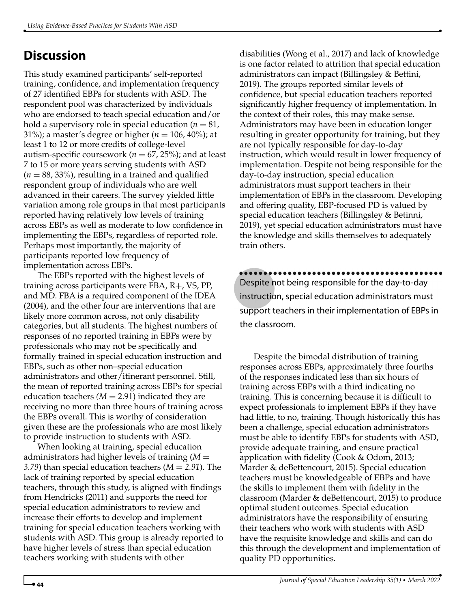## **Discussion**

This study examined participants' self-reported training, confidence, and implementation frequency of 27 identified EBPs for students with ASD. The respondent pool was characterized by individuals who are endorsed to teach special education and/or hold a supervisory role in special education  $(n = 81,$ 31%); a master's degree or higher ( $n = 106, 40\%$ ); at least 1 to 12 or more credits of college-level autism-specific coursework ( $n = 67$ , 25%); and at least 7 to 15 or more years serving students with ASD  $(n = 88, 33%)$ , resulting in a trained and qualified respondent group of individuals who are well advanced in their careers. The survey yielded little variation among role groups in that most participants reported having relatively low levels of training across EBPs as well as moderate to low confidence in implementing the EBPs, regardless of reported role. Perhaps most importantly, the majority of participants reported low frequency of implementation across EBPs.

The EBPs reported with the highest levels of training across participants were FBA, R+, VS, PP, and MD. FBA is a required component of the IDEA (2004), and the other four are interventions that are likely more common across, not only disability categories, but all students. The highest numbers of responses of no reported training in EBPs were by professionals who may not be specifically and formally trained in special education instruction and EBPs, such as other non–special education administrators and other/itinerant personnel. Still, the mean of reported training across EBPs for special education teachers  $(M = 2.91)$  indicated they are receiving no more than three hours of training across the EBPs overall. This is worthy of consideration given these are the professionals who are most likely to provide instruction to students with ASD.

When looking at training, special education administrators had higher levels of training (*M* = *3.79*) than special education teachers (*M* = *2.91*). The lack of training reported by special education teachers, through this study, is aligned with findings from Hendricks (2011) and supports the need for special education administrators to review and increase their efforts to develop and implement training for special education teachers working with students with ASD. This group is already reported to have higher levels of stress than special education teachers working with students with other

disabilities (Wong et al., 2017) and lack of knowledge is one factor related to attrition that special education administrators can impact (Billingsley & Bettini, 2019). The groups reported similar levels of confidence, but special education teachers reported significantly higher frequency of implementation. In the context of their roles, this may make sense. Administrators may have been in education longer resulting in greater opportunity for training, but they are not typically responsible for day-to-day instruction, which would result in lower frequency of implementation. Despite not being responsible for the day-to-day instruction, special education administrators must support teachers in their implementation of EBPs in the classroom. Developing and offering quality, EBP-focused PD is valued by special education teachers (Billingsley & Betinni, 2019), yet special education administrators must have the knowledge and skills themselves to adequately train others.

Despite not being responsible for the day-to-day instruction, special education administrators must support teachers in their implementation of EBPs in the classroom.

Despite the bimodal distribution of training responses across EBPs, approximately three fourths of the responses indicated less than six hours of training across EBPs with a third indicating no training. This is concerning because it is difficult to expect professionals to implement EBPs if they have had little, to no, training. Though historically this has been a challenge, special education administrators must be able to identify EBPs for students with ASD, provide adequate training, and ensure practical application with fidelity (Cook & Odom, 2013; Marder & deBettencourt, 2015). Special education teachers must be knowledgeable of EBPs and have the skills to implement them with fidelity in the classroom (Marder & deBettencourt, 2015) to produce optimal student outcomes. Special education administrators have the responsibility of ensuring their teachers who work with students with ASD have the requisite knowledge and skills and can do this through the development and implementation of quality PD opportunities.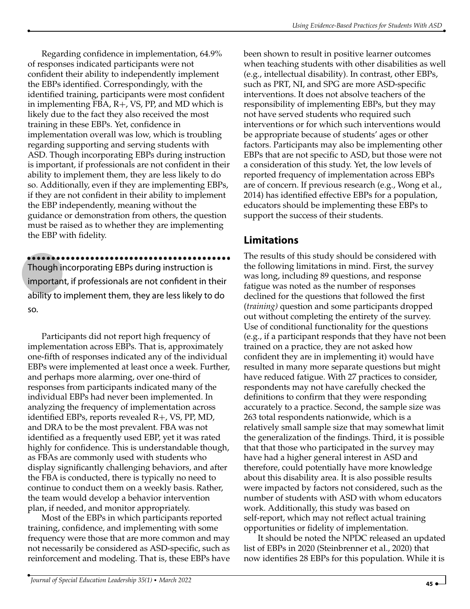Regarding confidence in implementation, 64.9% of responses indicated participants were not confident their ability to independently implement the EBPs identified. Correspondingly, with the identified training, participants were most confident in implementing FBA, R+, VS, PP, and MD which is likely due to the fact they also received the most training in these EBPs. Yet, confidence in implementation overall was low, which is troubling regarding supporting and serving students with ASD. Though incorporating EBPs during instruction is important, if professionals are not confident in their ability to implement them, they are less likely to do so. Additionally, even if they are implementing EBPs, if they are not confident in their ability to implement the EBP independently, meaning without the guidance or demonstration from others, the question must be raised as to whether they are implementing the EBP with fidelity.

Though incorporating EBPs during instruction is ••••••••••••••••••••••••••••••••••••••••••

important, if professionals are not confident in their ability to implement them, they are less likely to do so.

Participants did not report high frequency of implementation across EBPs. That is, approximately one-fifth of responses indicated any of the individual EBPs were implemented at least once a week. Further, and perhaps more alarming, over one-third of responses from participants indicated many of the individual EBPs had never been implemented. In analyzing the frequency of implementation across identified EBPs, reports revealed R+, VS, PP, MD, and DRA to be the most prevalent. FBA was not identified as a frequently used EBP, yet it was rated highly for confidence. This is understandable though, as FBAs are commonly used with students who display significantly challenging behaviors, and after the FBA is conducted, there is typically no need to continue to conduct them on a weekly basis. Rather, the team would develop a behavior intervention plan, if needed, and monitor appropriately.

Most of the EBPs in which participants reported training, confidence, and implementing with some frequency were those that are more common and may not necessarily be considered as ASD-specific, such as reinforcement and modeling. That is, these EBPs have

been shown to result in positive learner outcomes when teaching students with other disabilities as well (e.g., intellectual disability). In contrast, other EBPs, such as PRT, NI, and SPG are more ASD-specific interventions. It does not absolve teachers of the responsibility of implementing EBPs, but they may not have served students who required such interventions or for which such interventions would be appropriate because of students' ages or other factors. Participants may also be implementing other EBPs that are not specific to ASD, but those were not a consideration of this study. Yet, the low levels of reported frequency of implementation across EBPs are of concern. If previous research (e.g., Wong et al., 2014) has identified effective EBPs for a population, educators should be implementing these EBPs to support the success of their students.

#### **Limitations**

The results of this study should be considered with the following limitations in mind. First, the survey was long, including 89 questions, and response fatigue was noted as the number of responses declined for the questions that followed the first (*training)* question and some participants dropped out without completing the entirety of the survey. Use of conditional functionality for the questions (e.g., if a participant responds that they have not been trained on a practice, they are not asked how confident they are in implementing it) would have resulted in many more separate questions but might have reduced fatigue. With 27 practices to consider, respondents may not have carefully checked the definitions to confirm that they were responding accurately to a practice. Second, the sample size was 263 total respondents nationwide, which is a relatively small sample size that may somewhat limit the generalization of the findings. Third, it is possible that that those who participated in the survey may have had a higher general interest in ASD and therefore, could potentially have more knowledge about this disability area. It is also possible results were impacted by factors not considered, such as the number of students with ASD with whom educators work. Additionally, this study was based on self-report, which may not reflect actual training opportunities or fidelity of implementation.

It should be noted the NPDC released an updated list of EBPs in 2020 (Steinbrenner et al., 2020) that now identifies 28 EBPs for this population. While it is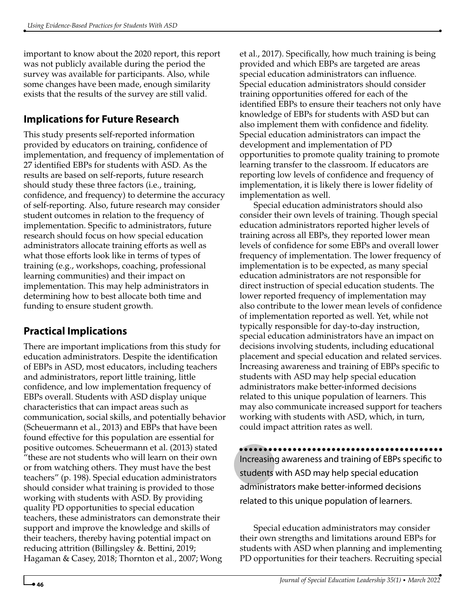important to know about the 2020 report, this report was not publicly available during the period the survey was available for participants. Also, while some changes have been made, enough similarity exists that the results of the survey are still valid.

## **Implications for Future Research**

This study presents self-reported information provided by educators on training, confidence of implementation, and frequency of implementation of 27 identified EBPs for students with ASD. As the results are based on self-reports, future research should study these three factors (i.e., training, confidence, and frequency) to determine the accuracy of self-reporting. Also, future research may consider student outcomes in relation to the frequency of implementation. Specific to administrators, future research should focus on how special education administrators allocate training efforts as well as what those efforts look like in terms of types of training (e.g., workshops, coaching, professional learning communities) and their impact on implementation. This may help administrators in determining how to best allocate both time and funding to ensure student growth.

## **Practical Implications**

There are important implications from this study for education administrators. Despite the identification of EBPs in ASD, most educators, including teachers and administrators, report little training, little confidence, and low implementation frequency of EBPs overall. Students with ASD display unique characteristics that can impact areas such as communication, social skills, and potentially behavior (Scheuermann et al., 2013) and EBPs that have been found effective for this population are essential for positive outcomes. Scheuermann et al. (2013) stated "these are not students who will learn on their own or from watching others. They must have the best teachers" (p. 198). Special education administrators should consider what training is provided to those working with students with ASD. By providing quality PD opportunities to special education teachers, these administrators can demonstrate their support and improve the knowledge and skills of their teachers, thereby having potential impact on reducing attrition (Billingsley &. Bettini, 2019; Hagaman & Casey, 2018; Thornton et al., 2007; Wong

et al., 2017). Specifically, how much training is being provided and which EBPs are targeted are areas special education administrators can influence. Special education administrators should consider training opportunities offered for each of the identified EBPs to ensure their teachers not only have knowledge of EBPs for students with ASD but can also implement them with confidence and fidelity. Special education administrators can impact the development and implementation of PD opportunities to promote quality training to promote learning transfer to the classroom. If educators are reporting low levels of confidence and frequency of implementation, it is likely there is lower fidelity of implementation as well.

Special education administrators should also consider their own levels of training. Though special education administrators reported higher levels of training across all EBPs, they reported lower mean levels of confidence for some EBPs and overall lower frequency of implementation. The lower frequency of implementation is to be expected, as many special education administrators are not responsible for direct instruction of special education students. The lower reported frequency of implementation may also contribute to the lower mean levels of confidence of implementation reported as well. Yet, while not typically responsible for day-to-day instruction, special education administrators have an impact on decisions involving students, including educational placement and special education and related services. Increasing awareness and training of EBPs specific to students with ASD may help special education administrators make better-informed decisions related to this unique population of learners. This may also communicate increased support for teachers working with students with ASD, which, in turn, could impact attrition rates as well.

Increasing awareness and training of EBPs specific to students with ASD may help special education administrators make better-informed decisions related to this unique population of learners.

Special education administrators may consider their own strengths and limitations around EBPs for students with ASD when planning and implementing PD opportunities for their teachers. Recruiting special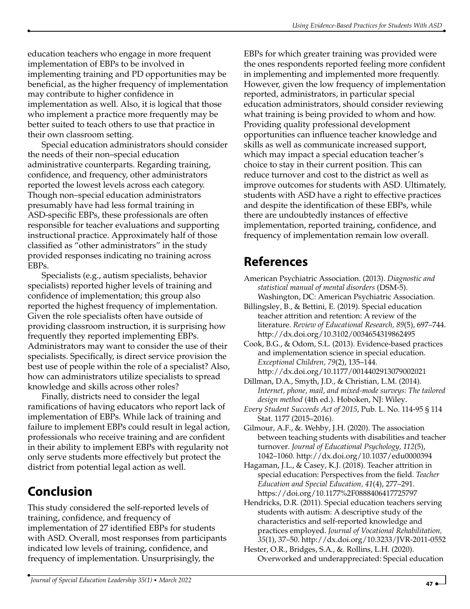education teachers who engage in more frequent implementation of EBPs to be involved in implementing training and PD opportunities may be beneficial, as the higher frequency of implementation may contribute to higher confidence in implementation as well. Also, it is logical that those who implement a practice more frequently may be better suited to teach others to use that practice in their own classroom setting.

Special education administrators should consider the needs of their non–special education administrative counterparts. Regarding training, confidence, and frequency, other administrators reported the lowest levels across each category. Though non–special education administrators presumably have had less formal training in ASD-specific EBPs, these professionals are often responsible for teacher evaluations and supporting instructional practice. Approximately half of those classified as "other administrators" in the study provided responses indicating no training across EBPs.

Specialists (e.g., autism specialists, behavior specialists) reported higher levels of training and confidence of implementation; this group also reported the highest frequency of implementation. Given the role specialists often have outside of providing classroom instruction, it is surprising how frequently they reported implementing EBPs. Administrators may want to consider the use of their specialists. Specifically, is direct service provision the best use of people within the role of a specialist? Also, how can administrators utilize specialists to spread knowledge and skills across other roles?

Finally, districts need to consider the legal ramifications of having educators who report lack of implementation of EBPs. While lack of training and failure to implement EBPs could result in legal action, professionals who receive training and are confident in their ability to implement EBPs with regularity not only serve students more effectively but protect the district from potential legal action as well.

## **Conclusion**

This study considered the self-reported levels of training, confidence, and frequency of implementation of 27 identified EBPs for students with ASD. Overall, most responses from participants indicated low levels of training, confidence, and frequency of implementation. Unsurprisingly, the

EBPs for which greater training was provided were the ones respondents reported feeling more confident in implementing and implemented more frequently. However, given the low frequency of implementation reported, administrators, in particular special education administrators, should consider reviewing what training is being provided to whom and how. Providing quality professional development opportunities can influence teacher knowledge and skills as well as communicate increased support, which may impact a special education teacher's choice to stay in their current position. This can reduce turnover and cost to the district as well as improve outcomes for students with ASD. Ultimately, students with ASD have a right to effective practices and despite the identification of these EBPs, while there are undoubtedly instances of effective implementation, reported training, confidence, and frequency of implementation remain low overall.

## **References**

- American Psychiatric Association. (2013). *Diagnostic and statistical manual of mental disorders* (DSM-5). Washington, DC: American Psychiatric Association.
- Billingsley, B., & Bettini, E. (2019). Special education teacher attrition and retention: A review of the literature. *Review of Educational Research, 89*(5), 697–744. http://dx.doi.org/10.3102/0034654319862495

Cook, B.G., & Odom, S.L. (2013). Evidence-based practices and implementation science in special education. *Exceptional Children, 79*(2), 135–144. http://dx.doi.org/10.1177/0014402913079002021

- Dillman, D.A., Smyth, J.D., & Christian, L.M. (2014). *Internet, phone, mail, and mixed-mode surveys: The tailored design method* (4th ed.). Hoboken, NJ: Wiley.
- *Every Student Succeeds Act of 2015*, Pub. L. No. 114-95 § 114 Stat. 1177 (2015–2016).
- Gilmour, A.F., &. Wehby, J.H. (2020). The association between teaching students with disabilities and teacher turnover. *Journal of Educational Psychology, 112*(5), 1042–1060. http://dx.doi.org/10.1037/edu0000394
- Hagaman, J.L., & Casey, K.J. (2018). Teacher attrition in special education: Perspectives from the field. *Teacher Education and Special Education, 41*(4), 277–291. https://doi.org/10.1177%2F0888406417725797
- Hendricks, D.R. (2011). Special education teachers serving students with autism: A descriptive study of the characteristics and self-reported knowledge and practices employed. *Journal of Vocational Rehabilitation, 35*(1), 37–50. http://dx.doi.org/10.3233/JVR-2011-0552
- Hester, O.R., Bridges, S.A., &. Rollins, L.H. (2020). Overworked and underappreciated: Special education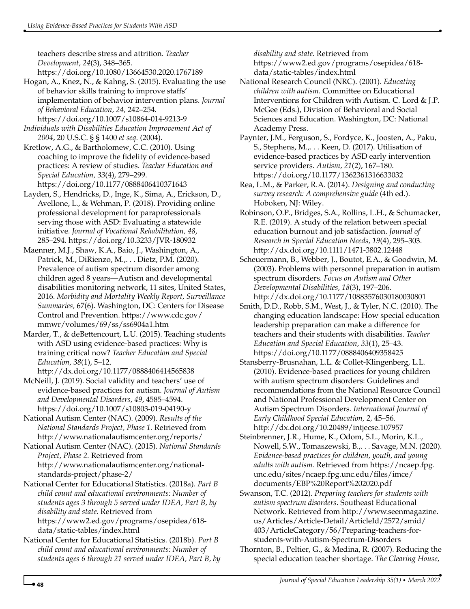teachers describe stress and attrition. *Teacher Development, 24*(3), 348–365. https://doi.org/10.1080/13664530.2020.1767189

Hogan, A., Knez, N., & Kahng, S. (2015). Evaluating the use of behavior skills training to improve staffs' implementation of behavior intervention plans. *Journal of Behavioral Education, 24,* 242–254. https://doi.org/10.1007/s10864-014-9213-9

*Individuals with Disabilities Education Improvement Act of 2004*, 20 U.S.C. § § 1400 *et seq.* (2004).

Kretlow, A.G., & Bartholomew, C.C. (2010). Using coaching to improve the fidelity of evidence-based practices: A review of studies. *Teacher Education and Special Education, 33*(4), 279–299. https://doi.org/10.1177/0888406410371643

Layden, S., Hendricks, D., Inge, K., Sima, A., Erickson, D., Avellone, L., & Wehman, P. (2018). Providing online professional development for paraprofessionals serving those with ASD: Evaluating a statewide initiative. *Journal of Vocational Rehabilitation, 48*, 285–294. https://doi.org/10.3233/JVR-180932

Maenner, M.J., Shaw, K.A., Baio, J., Washington, A., Patrick, M., DiRienzo, M.,. . . Dietz, P.M. (2020). Prevalence of autism spectrum disorder among children aged 8 years—Autism and developmental disabilities monitoring network, 11 sites, United States, 2016. *Morbidity and Mortality Weekly Report, Surveillance Summaries,* 67(6). Washington, DC: Centers for Disease Control and Prevention. https://www.cdc.gov/ mmwr/volumes/69/ss/ss6904a1.htm

Marder, T., & deBettencourt, L.U. (2015). Teaching students with ASD using evidence-based practices: Why is training critical now? *Teacher Education and Special Education, 38*(1), 5–12.

http://dx.doi.org/10.1177/0888406414565838

McNeill, J. (2019). Social validity and teachers' use of evidence-based practices for autism. *Journal of Autism and Developmental Disorders, 49*, 4585–4594. https://doi.org/10.1007/s10803-019-04190-y

National Autism Center (NAC). (2009). *Results of the National Standards Project, Phase 1.* Retrieved from http://www.nationalautismcenter.org/reports/

National Autism Center (NAC). (2015). *National Standards Project, Phase 2.* Retrieved from http://www.nationalautismcenter.org/nationalstandards-project/phase-2/

National Center for Educational Statistics. (2018a). *Part B child count and educational environments: Number of students ages 3 through 5 served under IDEA, Part B, by disability and state.* Retrieved from https://www2.ed.gov/programs/osepidea/618-

data/static-tables/index.html

National Center for Educational Statistics. (2018b). *Part B child count and educational environments: Number of students ages 6 through 21 served under IDEA, Part B, by* *disability and state.* Retrieved from https://www2.ed.gov/programs/osepidea/618 data/static-tables/index.html

National Research Council (NRC). (2001). *Educating children with autism*. Committee on Educational Interventions for Children with Autism. C. Lord & J.P. McGee (Eds.), Division of Behavioral and Social Sciences and Education. Washington, DC: National Academy Press.

Paynter, J.M., Ferguson, S., Fordyce, K., Joosten, A., Paku, S., Stephens, M.,. . . Keen, D. (2017). Utilisation of evidence-based practices by ASD early intervention service providers. *Autism, 21*(2), 167–180. https://doi.org/10.1177/1362361316633032

Rea, L.M., & Parker, R.A. (2014). *Designing and conducting survey research: A comprehensive guide* (4th ed.). Hoboken, NJ: Wiley.

Robinson, O.P., Bridges, S.A., Rollins, L.H., & Schumacker, R.E. (2019). A study of the relation between special education burnout and job satisfaction. *Journal of Research in Special Education Needs, 19*(4), 295–303. http://dx.doi.org/10.1111/1471-3802.12448

Scheuermann, B., Webber, J., Boutot, E.A., & Goodwin, M. (2003). Problems with personnel preparation in autism spectrum disorders. *Focus on Autism and Other Developmental Disabilities, 18*(3), 197–206. http://dx.doi.org/10.1177/10883576030180030801

Smith, D.D., Robb, S.M., West, J., & Tyler, N.C. (2010). The changing education landscape: How special education leadership preparation can make a difference for teachers and their students with disabilities. *Teacher Education and Special Education, 33*(1), 25–43. https://doi.org/10.1177/0888406409358425

Stansberry-Brusnahan, L.L. & Collet-Klingenberg, L.L. (2010). Evidence-based practices for young children with autism spectrum disorders: Guidelines and recommendations from the National Resource Council and National Professional Development Center on Autism Spectrum Disorders. *International Journal of Early Childhood Special Education, 2,* 45–56. http://dx.doi.org/10.20489/intjecse.107957

Steinbrenner, J.R., Hume, K., Odom, S.L., Morin, K.L., Nowell, S.W., Tomaszewski, B.,. . . Savage, M.N. (2020). *Evidence-based practices for children, youth, and young adults with autism*. Retrieved from https://ncaep.fpg. unc.edu/sites/ncaep.fpg.unc.edu/files/imce/ documents/EBP%20Report%202020.pdf

Swanson, T.C. (2012). *Preparing teachers for students with autism spectrum disorders*. Southeast Educational Network. Retrieved from http://www.seenmagazine. us/Articles/Article-Detail/ArticleId/2572/smid/ 403/ArticleCategory/56/Preparing-teachers-forstudents-with-Autism-Spectrum-Disorders

Thornton, B., Peltier, G., & Medina, R. (2007). Reducing the special education teacher shortage. *The Clearing House,*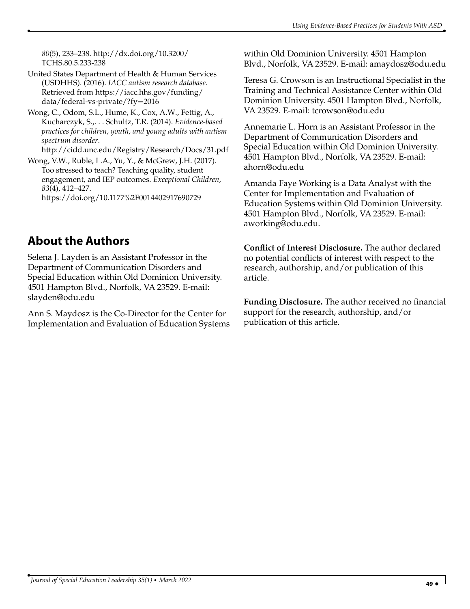*80*(5), 233–238. http://dx.doi.org/10.3200/ TCHS.80.5.233-238

United States Department of Health & Human Services (USDHHS). (2016). *IACC autism research database.* Retrieved from https://iacc.hhs.gov/funding/ data/federal-vs-private/?fy=2016

Wong, C., Odom, S.L., Hume, K., Cox, A.W., Fettig, A., Kucharczyk, S.,. . . Schultz, T.R. (2014). *Evidence-based practices for children, youth, and young adults with autism spectrum disorder*.

http://cidd.unc.edu/Registry/Research/Docs/31.pdf

Wong, V.W., Ruble, L.A., Yu, Y., & McGrew, J.H. (2017). Too stressed to teach? Teaching quality, student engagement, and IEP outcomes. *Exceptional Children, 83*(4), 412–427. https://doi.org/10.1177%2F0014402917690729

## **About the Authors**

Selena J. Layden is an Assistant Professor in the Department of Communication Disorders and Special Education within Old Dominion University. 4501 Hampton Blvd., Norfolk, VA 23529. E-mail: slayden@odu.edu

Ann S. Maydosz is the Co-Director for the Center for Implementation and Evaluation of Education Systems within Old Dominion University. 4501 Hampton Blvd., Norfolk, VA 23529. E-mail: amaydosz@odu.edu

Teresa G. Crowson is an Instructional Specialist in the Training and Technical Assistance Center within Old Dominion University. 4501 Hampton Blvd., Norfolk, VA 23529. E-mail: tcrowson@odu.edu

Annemarie L. Horn is an Assistant Professor in the Department of Communication Disorders and Special Education within Old Dominion University. 4501 Hampton Blvd., Norfolk, VA 23529. E-mail: ahorn@odu.edu

Amanda Faye Working is a Data Analyst with the Center for Implementation and Evaluation of Education Systems within Old Dominion University. 4501 Hampton Blvd., Norfolk, VA 23529. E-mail: aworking@odu.edu.

**Conflict of Interest Disclosure.** The author declared no potential conflicts of interest with respect to the research, authorship, and/or publication of this article.

**Funding Disclosure.** The author received no financial support for the research, authorship, and/or publication of this article.